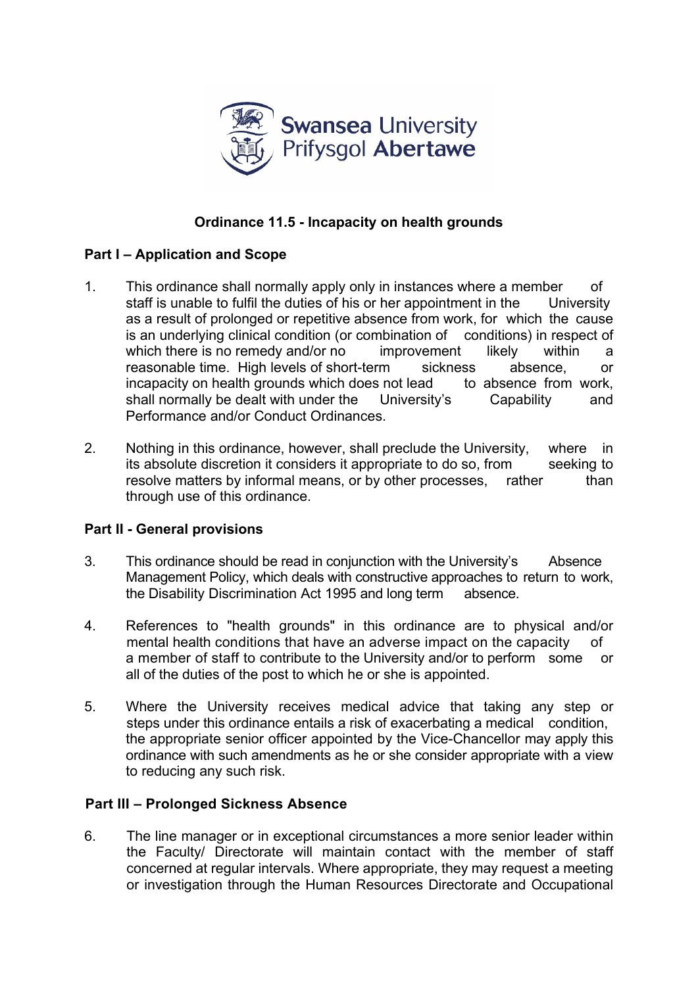

# **Ordinance 11.5 - Incapacity on health grounds**

## **Part I – Application and Scope**

- 1. This ordinance shall normally apply only in instances where a member of staff is unable to fulfil the duties of his or her appointment in the University as a result of prolonged or repetitive absence from work, for which the cause is an underlying clinical condition (or combination of conditions) in respect of which there is no remedy and/or no improvement likely within a reasonable time. High levels of short-term sickness absence, or incapacity on health grounds which does not lead to absence from work. incapacity on health grounds which does not lead shall normally be dealt with under the University's Capability and Performance and/or Conduct Ordinances.
- 2. Nothing in this ordinance, however, shall preclude the University, where in its absolute discretion it considers it appropriate to do so, from seeking to resolve matters by informal means, or by other processes, rather than through use of this ordinance.

#### **Part II - General provisions**

- 3. This ordinance should be read in conjunction with the University's Absence Management Policy, which deals with constructive approaches to return to work, the Disability Discrimination Act 1995 and long term absence.
- 4. References to "health grounds" in this ordinance are to physical and/or mental health conditions that have an adverse impact on the capacity of a member of staff to contribute to the University and/or to perform some or all of the duties of the post to which he or she is appointed.
- 5. Where the University receives medical advice that taking any step or steps under this ordinance entails a risk of exacerbating a medical condition, the appropriate senior officer appointed by the Vice-Chancellor may apply this ordinance with such amendments as he or she consider appropriate with a view to reducing any such risk.

## **Part III – Prolonged Sickness Absence**

6. The line manager or in exceptional circumstances a more senior leader within the Faculty/ Directorate will maintain contact with the member of staff concerned at regular intervals. Where appropriate, they may request a meeting or investigation through the Human Resources Directorate and Occupational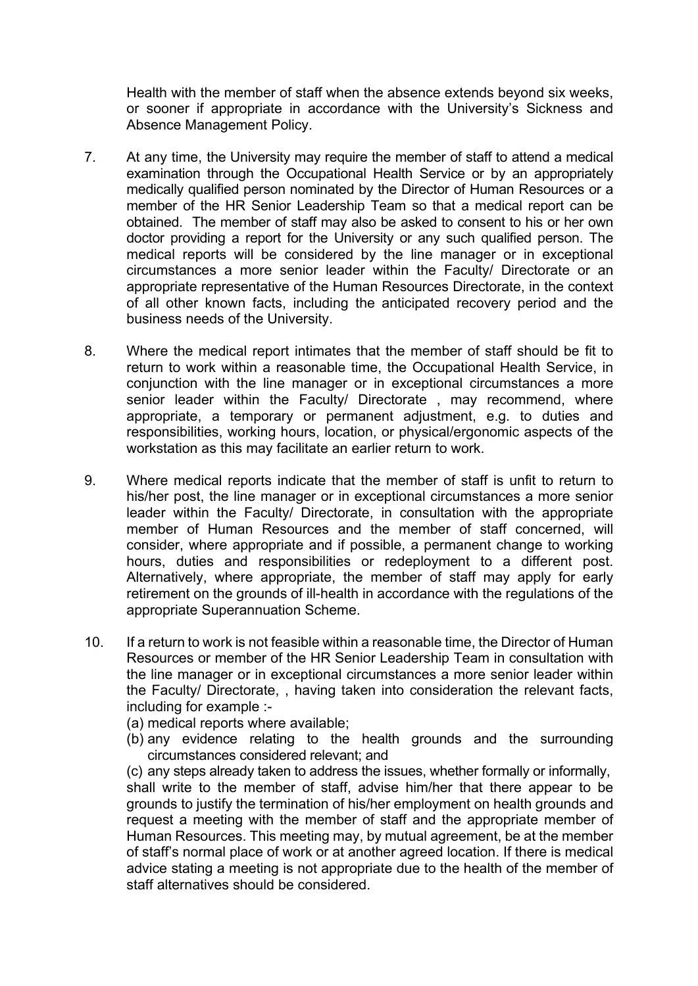Health with the member of staff when the absence extends beyond six weeks, or sooner if appropriate in accordance with the University's Sickness and Absence Management Policy.

- 7. At any time, the University may require the member of staff to attend a medical examination through the Occupational Health Service or by an appropriately medically qualified person nominated by the Director of Human Resources or a member of the HR Senior Leadership Team so that a medical report can be obtained. The member of staff may also be asked to consent to his or her own doctor providing a report for the University or any such qualified person. The medical reports will be considered by the line manager or in exceptional circumstances a more senior leader within the Faculty/ Directorate or an appropriate representative of the Human Resources Directorate, in the context of all other known facts, including the anticipated recovery period and the business needs of the University.
- 8. Where the medical report intimates that the member of staff should be fit to return to work within a reasonable time, the Occupational Health Service, in conjunction with the line manager or in exceptional circumstances a more senior leader within the Faculty/ Directorate, may recommend, where appropriate, a temporary or permanent adjustment, e.g. to duties and responsibilities, working hours, location, or physical/ergonomic aspects of the workstation as this may facilitate an earlier return to work.
- 9. Where medical reports indicate that the member of staff is unfit to return to his/her post, the line manager or in exceptional circumstances a more senior leader within the Faculty/ Directorate, in consultation with the appropriate member of Human Resources and the member of staff concerned, will consider, where appropriate and if possible, a permanent change to working hours, duties and responsibilities or redeployment to a different post. Alternatively, where appropriate, the member of staff may apply for early retirement on the grounds of ill-health in accordance with the regulations of the appropriate Superannuation Scheme.
- 10. If a return to work is not feasible within a reasonable time, the Director of Human Resources or member of the HR Senior Leadership Team in consultation with the line manager or in exceptional circumstances a more senior leader within the Faculty/ Directorate, , having taken into consideration the relevant facts, including for example :-
	- (a) medical reports where available;
	- (b) any evidence relating to the health grounds and the surrounding circumstances considered relevant; and

(c) any steps already taken to address the issues, whether formally or informally, shall write to the member of staff, advise him/her that there appear to be grounds to justify the termination of his/her employment on health grounds and request a meeting with the member of staff and the appropriate member of Human Resources. This meeting may, by mutual agreement, be at the member of staff's normal place of work or at another agreed location. If there is medical advice stating a meeting is not appropriate due to the health of the member of staff alternatives should be considered.